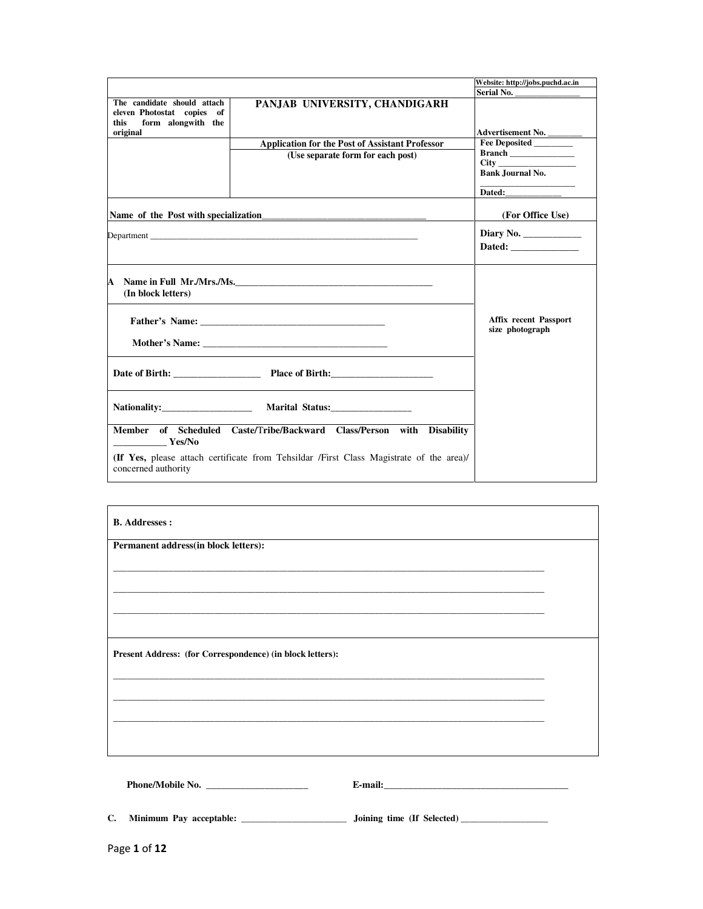|                                                                                         |                                                                                         | Website: http://jobs.puchd.ac.in                 |
|-----------------------------------------------------------------------------------------|-----------------------------------------------------------------------------------------|--------------------------------------------------|
|                                                                                         |                                                                                         | Serial No.                                       |
| The candidate should attach<br>eleven Photostat copies of<br>form alongwith the<br>this | PANJAB UNIVERSITY, CHANDIGARH                                                           |                                                  |
| original                                                                                |                                                                                         | Advertisement No.<br>Fee Deposited               |
|                                                                                         | <b>Application for the Post of Assistant Professor</b>                                  | Branch                                           |
|                                                                                         | (Use separate form for each post)                                                       |                                                  |
|                                                                                         |                                                                                         | <b>Bank Journal No.</b>                          |
|                                                                                         |                                                                                         |                                                  |
|                                                                                         |                                                                                         | (For Office Use)                                 |
|                                                                                         |                                                                                         | Diary No. $\_\_\_\_\_\_\_\_\_\_\_\_\_\_\_\_\_\_$ |
|                                                                                         |                                                                                         | Dated:                                           |
|                                                                                         |                                                                                         |                                                  |
| A<br>(In block letters)                                                                 | Name in Full Mr./Mrs./Ms.                                                               |                                                  |
|                                                                                         |                                                                                         | <b>Affix recent Passport</b><br>size photograph  |
|                                                                                         |                                                                                         |                                                  |
|                                                                                         |                                                                                         |                                                  |
|                                                                                         |                                                                                         |                                                  |
| $\sim$ Yes/No                                                                           | Member of Scheduled Caste/Tribe/Backward Class/Person with Disability                   |                                                  |
| concerned authority                                                                     | (If Yes, please attach certificate from Tehsildar /First Class Magistrate of the area)/ |                                                  |

| Permanent address(in block letters):                      |                                                                                                                       |  |
|-----------------------------------------------------------|-----------------------------------------------------------------------------------------------------------------------|--|
|                                                           |                                                                                                                       |  |
|                                                           | <u> 1989 - Johann Stoff, deutscher Stoff, der Stoff, der Stoff, der Stoff, der Stoff, der Stoff, der Stoff, der S</u> |  |
|                                                           |                                                                                                                       |  |
|                                                           |                                                                                                                       |  |
|                                                           |                                                                                                                       |  |
|                                                           |                                                                                                                       |  |
| Present Address: (for Correspondence) (in block letters): |                                                                                                                       |  |
|                                                           |                                                                                                                       |  |
|                                                           |                                                                                                                       |  |
|                                                           |                                                                                                                       |  |
|                                                           |                                                                                                                       |  |
|                                                           |                                                                                                                       |  |
|                                                           |                                                                                                                       |  |
|                                                           |                                                                                                                       |  |

**C. Minimum Pay acceptable: \_\_\_\_\_\_\_\_\_\_\_\_\_\_\_\_\_\_\_\_\_\_\_ Joining time (If Selected) \_\_\_\_\_\_\_\_\_\_\_\_\_\_\_\_\_\_\_**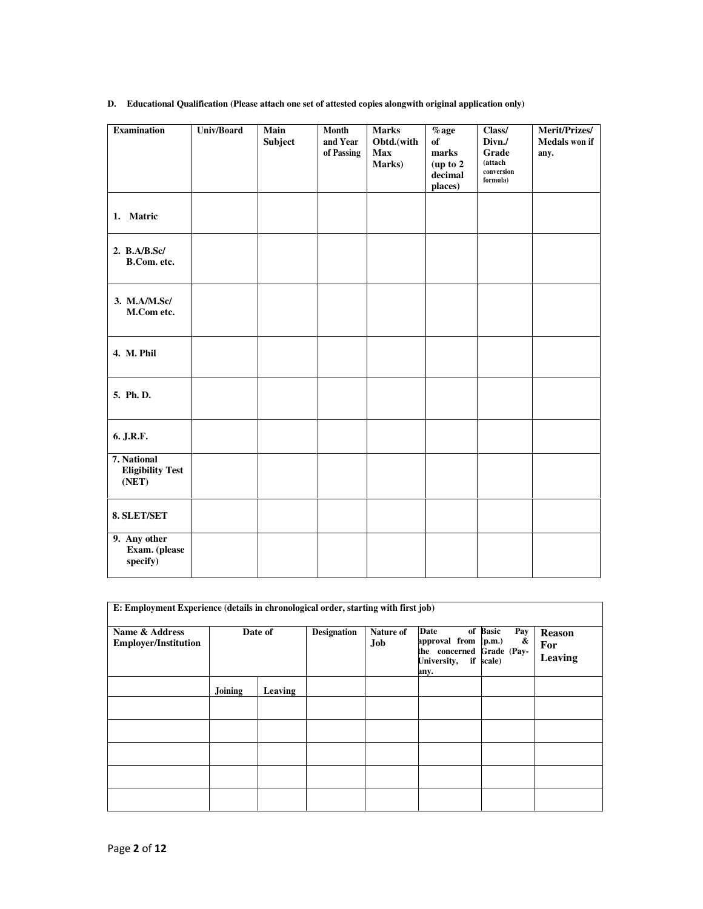# **D. Educational Qualification (Please attach one set of attested copies alongwith original application only)**

| <b>Examination</b>                              | <b>Univ/Board</b> | Main<br>Subject | Month<br>and Year<br>of Passing | <b>Marks</b><br>Obtd.(with<br>Max<br>Marks) | $%$ age<br>of<br>marks<br>(up to 2<br>decimal<br>places) | Class/<br>Divn./<br>Grade<br>(attach<br>conversion<br>formula) | Merit/Prizes/<br><b>Medals won if</b><br>any. |
|-------------------------------------------------|-------------------|-----------------|---------------------------------|---------------------------------------------|----------------------------------------------------------|----------------------------------------------------------------|-----------------------------------------------|
| 1. Matric                                       |                   |                 |                                 |                                             |                                                          |                                                                |                                               |
| 2. B.A/B.Sc/<br>B.Com. etc.                     |                   |                 |                                 |                                             |                                                          |                                                                |                                               |
| 3. M.A/M.Sc/<br>M.Com etc.                      |                   |                 |                                 |                                             |                                                          |                                                                |                                               |
| 4. M. Phil                                      |                   |                 |                                 |                                             |                                                          |                                                                |                                               |
| 5. Ph. D.                                       |                   |                 |                                 |                                             |                                                          |                                                                |                                               |
| 6. J.R.F.                                       |                   |                 |                                 |                                             |                                                          |                                                                |                                               |
| 7. National<br><b>Eligibility Test</b><br>(NET) |                   |                 |                                 |                                             |                                                          |                                                                |                                               |
| 8. SLET/SET                                     |                   |                 |                                 |                                             |                                                          |                                                                |                                               |
| 9. Any other<br>Exam. (please<br>specify)       |                   |                 |                                 |                                             |                                                          |                                                                |                                               |

|                                               | E: Employment Experience (details in chronological order, starting with first job) |         |                    |                         |                                                                                  |                                   |                                 |
|-----------------------------------------------|------------------------------------------------------------------------------------|---------|--------------------|-------------------------|----------------------------------------------------------------------------------|-----------------------------------|---------------------------------|
| Name & Address<br><b>Employer/Institution</b> |                                                                                    | Date of | <b>Designation</b> | Nature of<br><b>Job</b> | Date<br>approval from (p.m.)<br>the concerned Grade (Pay-<br>University,<br>any. | of Basic<br>Pay<br>&<br>if scale) | <b>Reason</b><br>For<br>Leaving |
|                                               | Joining                                                                            | Leaving |                    |                         |                                                                                  |                                   |                                 |
|                                               |                                                                                    |         |                    |                         |                                                                                  |                                   |                                 |
|                                               |                                                                                    |         |                    |                         |                                                                                  |                                   |                                 |
|                                               |                                                                                    |         |                    |                         |                                                                                  |                                   |                                 |
|                                               |                                                                                    |         |                    |                         |                                                                                  |                                   |                                 |
|                                               |                                                                                    |         |                    |                         |                                                                                  |                                   |                                 |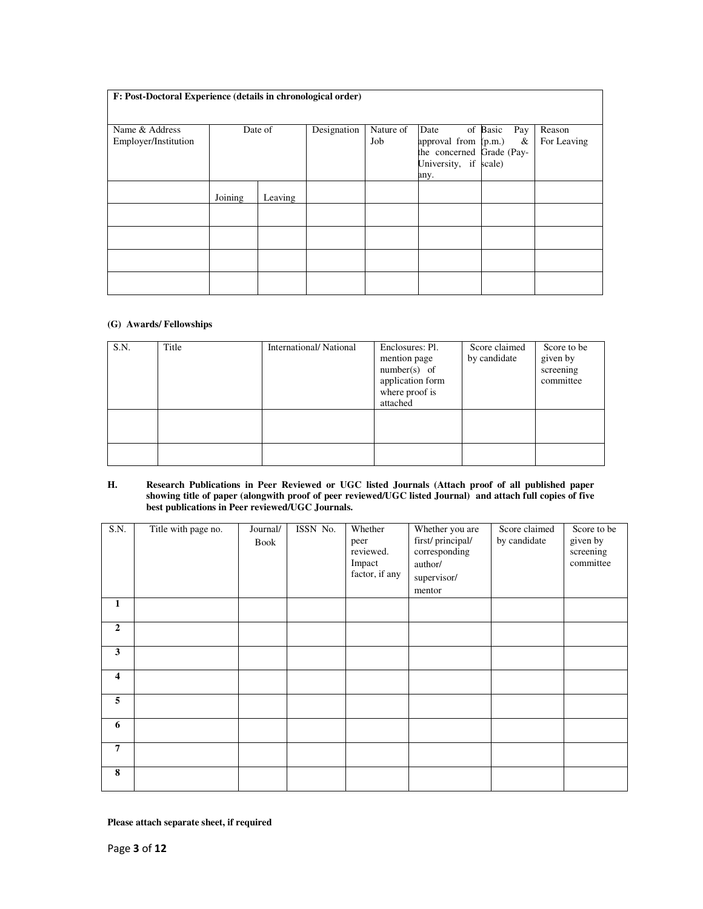| F: Post-Doctoral Experience (details in chronological order) |         |         |             |                  |                                                                                            |                      |                       |  |  |
|--------------------------------------------------------------|---------|---------|-------------|------------------|--------------------------------------------------------------------------------------------|----------------------|-----------------------|--|--|
| Name & Address<br>Employer/Institution                       |         | Date of | Designation | Nature of<br>Job | Date<br>approval from (p.m.)<br>the concerned Grade (Pay-<br>University, if scale)<br>any. | of Basic<br>Pay<br>& | Reason<br>For Leaving |  |  |
|                                                              | Joining | Leaving |             |                  |                                                                                            |                      |                       |  |  |
|                                                              |         |         |             |                  |                                                                                            |                      |                       |  |  |
|                                                              |         |         |             |                  |                                                                                            |                      |                       |  |  |
|                                                              |         |         |             |                  |                                                                                            |                      |                       |  |  |
|                                                              |         |         |             |                  |                                                                                            |                      |                       |  |  |

### **(G) Awards/ Fellowships**

| S.N. | Title | International/National | Enclosures: Pl.<br>mention page<br>$number(s)$ of<br>application form<br>where proof is<br>attached | Score claimed<br>by candidate | Score to be<br>given by<br>screening<br>committee |
|------|-------|------------------------|-----------------------------------------------------------------------------------------------------|-------------------------------|---------------------------------------------------|
|      |       |                        |                                                                                                     |                               |                                                   |
|      |       |                        |                                                                                                     |                               |                                                   |

#### **H. Research Publications in Peer Reviewed or UGC listed Journals (Attach proof of all published paper showing title of paper (alongwith proof of peer reviewed/UGC listed Journal) and attach full copies of five best publications in Peer reviewed/UGC Journals.**

| S.N.                    | Title with page no. | Journal/<br>Book | ISSN No. | Whether<br>peer<br>reviewed.<br>Impact<br>factor, if any | Whether you are<br>first/principal/<br>corresponding<br>author/<br>supervisor/<br>mentor | Score claimed<br>by candidate | Score to be<br>given by<br>screening<br>committee |
|-------------------------|---------------------|------------------|----------|----------------------------------------------------------|------------------------------------------------------------------------------------------|-------------------------------|---------------------------------------------------|
| 1                       |                     |                  |          |                                                          |                                                                                          |                               |                                                   |
| $\boldsymbol{2}$        |                     |                  |          |                                                          |                                                                                          |                               |                                                   |
| $\mathbf{3}$            |                     |                  |          |                                                          |                                                                                          |                               |                                                   |
| $\overline{\mathbf{4}}$ |                     |                  |          |                                                          |                                                                                          |                               |                                                   |
| 5                       |                     |                  |          |                                                          |                                                                                          |                               |                                                   |
| 6                       |                     |                  |          |                                                          |                                                                                          |                               |                                                   |
| $\overline{7}$          |                     |                  |          |                                                          |                                                                                          |                               |                                                   |
| ${\bf 8}$               |                     |                  |          |                                                          |                                                                                          |                               |                                                   |

**Please attach separate sheet, if required**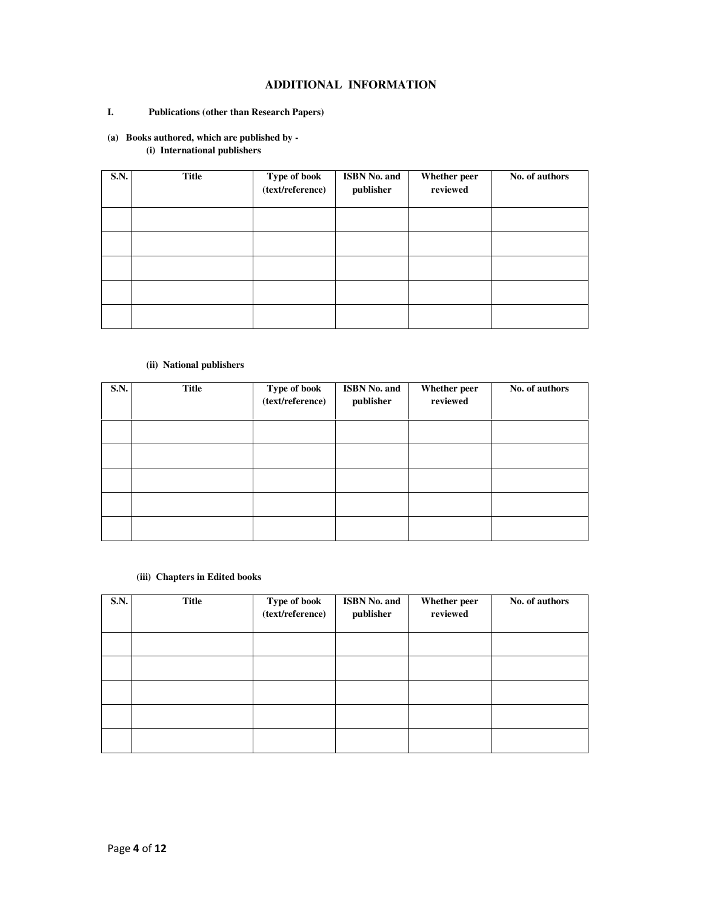# **ADDITIONAL INFORMATION**

# **I. Publications (other than Research Papers)**

# **(a) Books authored, which are published by -**

**(i) International publishers** 

| <b>S.N.</b> | <b>Title</b> | Type of book<br>(text/reference) | ISBN No. and<br>publisher | Whether peer<br>reviewed | No. of authors |
|-------------|--------------|----------------------------------|---------------------------|--------------------------|----------------|
|             |              |                                  |                           |                          |                |
|             |              |                                  |                           |                          |                |
|             |              |                                  |                           |                          |                |
|             |              |                                  |                           |                          |                |
|             |              |                                  |                           |                          |                |

# **(ii) National publishers**

| S.N. | Title | Type of book<br>(text/reference) | ISBN No. and<br>publisher | Whether peer<br>reviewed | No. of authors |
|------|-------|----------------------------------|---------------------------|--------------------------|----------------|
|      |       |                                  |                           |                          |                |
|      |       |                                  |                           |                          |                |
|      |       |                                  |                           |                          |                |
|      |       |                                  |                           |                          |                |
|      |       |                                  |                           |                          |                |

### **(iii) Chapters in Edited books**

| <b>S.N.</b> | Title | Type of book<br>(text/reference) | ISBN No. and<br>publisher | Whether peer<br>reviewed | No. of authors |
|-------------|-------|----------------------------------|---------------------------|--------------------------|----------------|
|             |       |                                  |                           |                          |                |
|             |       |                                  |                           |                          |                |
|             |       |                                  |                           |                          |                |
|             |       |                                  |                           |                          |                |
|             |       |                                  |                           |                          |                |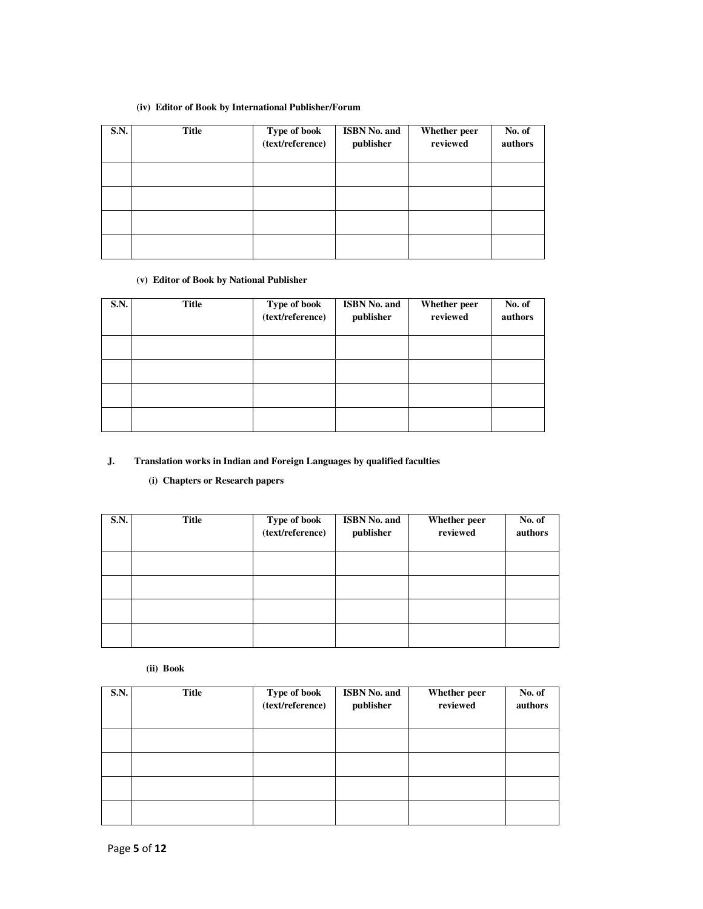# **(iv) Editor of Book by International Publisher/Forum**

| <b>S.N.</b> | <b>Title</b> | Type of book<br>(text/reference) | <b>ISBN No. and</b><br>publisher | Whether peer<br>reviewed | No. of<br>authors |
|-------------|--------------|----------------------------------|----------------------------------|--------------------------|-------------------|
|             |              |                                  |                                  |                          |                   |
|             |              |                                  |                                  |                          |                   |
|             |              |                                  |                                  |                          |                   |
|             |              |                                  |                                  |                          |                   |

### **(v) Editor of Book by National Publisher**

| <b>S.N.</b> | <b>Title</b> | Type of book<br>(text/reference) | <b>ISBN No. and</b><br>publisher | Whether peer<br>reviewed | No. of<br>authors |
|-------------|--------------|----------------------------------|----------------------------------|--------------------------|-------------------|
|             |              |                                  |                                  |                          |                   |
|             |              |                                  |                                  |                          |                   |
|             |              |                                  |                                  |                          |                   |
|             |              |                                  |                                  |                          |                   |

# **J. Translation works in Indian and Foreign Languages by qualified faculties**

### **(i) Chapters or Research papers**

| <b>S.N.</b> | <b>Title</b> | Type of book<br>(text/reference) | <b>ISBN No. and</b><br>publisher | Whether peer<br>reviewed | No. of<br>authors |
|-------------|--------------|----------------------------------|----------------------------------|--------------------------|-------------------|
|             |              |                                  |                                  |                          |                   |
|             |              |                                  |                                  |                          |                   |
|             |              |                                  |                                  |                          |                   |
|             |              |                                  |                                  |                          |                   |

**(ii) Book** 

| <b>S.N.</b> | Title | Type of book<br>(text/reference) | <b>ISBN No. and</b><br>publisher | Whether peer<br>reviewed | No. of<br>authors |
|-------------|-------|----------------------------------|----------------------------------|--------------------------|-------------------|
|             |       |                                  |                                  |                          |                   |
|             |       |                                  |                                  |                          |                   |
|             |       |                                  |                                  |                          |                   |
|             |       |                                  |                                  |                          |                   |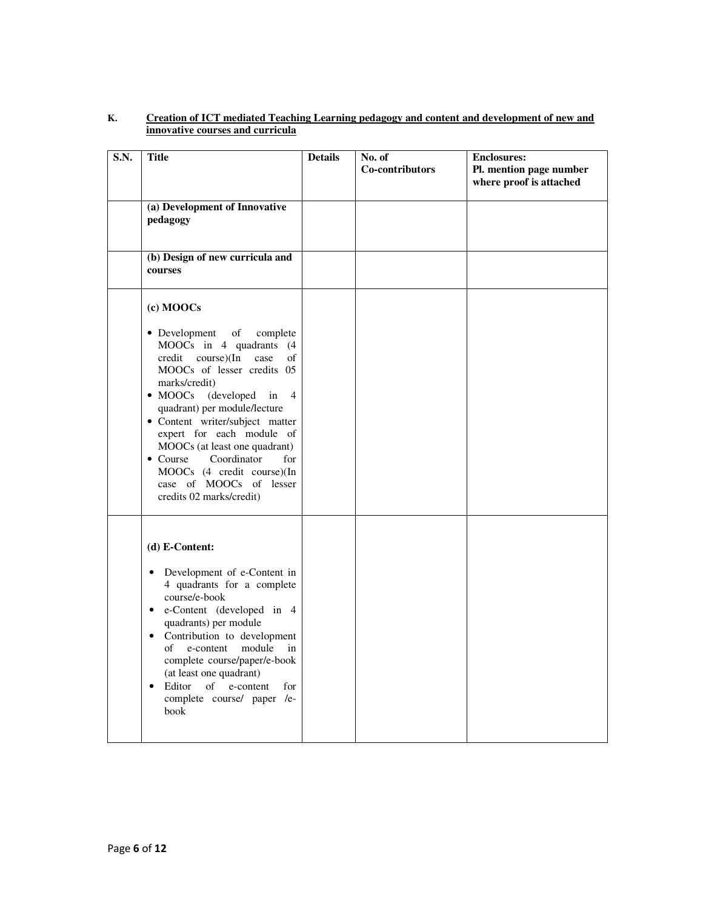| S.N. | <b>Title</b>                                                                                                                                                                                                                                                                                                                                                                                                                                              | <b>Details</b> | No. of<br>Co-contributors | <b>Enclosures:</b><br>Pl. mention page number<br>where proof is attached |
|------|-----------------------------------------------------------------------------------------------------------------------------------------------------------------------------------------------------------------------------------------------------------------------------------------------------------------------------------------------------------------------------------------------------------------------------------------------------------|----------------|---------------------------|--------------------------------------------------------------------------|
|      | (a) Development of Innovative<br>pedagogy                                                                                                                                                                                                                                                                                                                                                                                                                 |                |                           |                                                                          |
|      | (b) Design of new curricula and<br>courses                                                                                                                                                                                                                                                                                                                                                                                                                |                |                           |                                                                          |
|      | (c) MOOCs<br>• Development<br>of<br>complete<br>MOOCs in 4 quadrants (4<br>course)(In<br>credit<br>case<br>of<br>MOOCs of lesser credits 05<br>marks/credit)<br>(developed<br>$\bullet$ MOOCs<br>in<br>$\overline{4}$<br>quadrant) per module/lecture<br>• Content writer/subject matter<br>expert for each module of<br>MOOCs (at least one quadrant)<br>$\bullet$ Course<br>Coordinator<br>for<br>MOOCs (4 credit course)(In<br>case of MOOCs of lesser |                |                           |                                                                          |
|      | credits 02 marks/credit)<br>$(d) E-Content:$<br>Development of e-Content in<br>$\bullet$<br>4 quadrants for a complete<br>course/e-book<br>e-Content (developed in 4<br>$\bullet$<br>quadrants) per module<br>Contribution to development<br>$\bullet$<br>e-content<br>module<br>of<br>in<br>complete course/paper/e-book<br>(at least one quadrant)<br>Editor<br>of<br>e-content<br>for<br>$\bullet$<br>complete course/ paper /e-<br>book               |                |                           |                                                                          |

# **K. Creation of ICT mediated Teaching Learning pedagogy and content and development of new and innovative courses and curricula**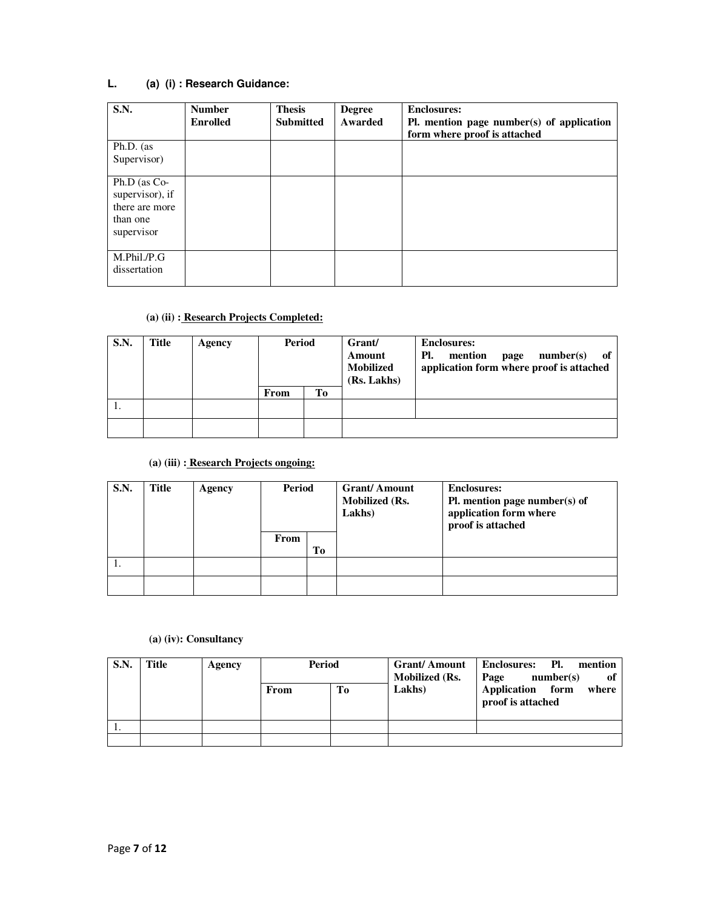# **L. (a) (i) : Research Guidance:**

| <b>S.N.</b>                                                                     | <b>Number</b><br><b>Enrolled</b> | <b>Thesis</b><br><b>Submitted</b> | <b>Degree</b><br>Awarded | <b>Enclosures:</b><br>Pl. mention page number(s) of application<br>form where proof is attached |
|---------------------------------------------------------------------------------|----------------------------------|-----------------------------------|--------------------------|-------------------------------------------------------------------------------------------------|
| Ph.D. (as<br>Supervisor)                                                        |                                  |                                   |                          |                                                                                                 |
| $Ph.D$ (as $Co-$<br>supervisor), if<br>there are more<br>than one<br>supervisor |                                  |                                   |                          |                                                                                                 |
| M.Phil./P.G<br>dissertation                                                     |                                  |                                   |                          |                                                                                                 |

# **(a) (ii) : Research Projects Completed:**

| S.N. | Title | Agency | Period |    | Grant/<br>Amount<br><b>Mobilized</b><br>(Rs. Lakhs) | <b>Enclosures:</b><br>Pl.<br>mention<br>number(s)<br>-of<br>page<br>application form where proof is attached |
|------|-------|--------|--------|----|-----------------------------------------------------|--------------------------------------------------------------------------------------------------------------|
|      |       |        | From   | Tо |                                                     |                                                                                                              |
|      |       |        |        |    |                                                     |                                                                                                              |
|      |       |        |        |    |                                                     |                                                                                                              |

# **(a) (iii) : Research Projects ongoing:**

| S.N. | Title | Agency | Period |    | <b>Grant/Amount</b><br><b>Mobilized (Rs.</b><br>Lakhs) | <b>Enclosures:</b><br>Pl. mention page number(s) of<br>application form where<br>proof is attached |
|------|-------|--------|--------|----|--------------------------------------------------------|----------------------------------------------------------------------------------------------------|
|      |       |        | From   | Tо |                                                        |                                                                                                    |
|      |       |        |        |    |                                                        |                                                                                                    |
|      |       |        |        |    |                                                        |                                                                                                    |

# **(a) (iv): Consultancy**

| <b>S.N.</b> | <b>Title</b> | Agency | Period |    | <b>Mobilized (Rs.</b> | Grant/Amount   Enclosures: Pl. mention<br>of<br>number(s)<br>Page |  |
|-------------|--------------|--------|--------|----|-----------------------|-------------------------------------------------------------------|--|
|             |              |        | From   | To | Lakhs)                | Application form<br>where<br>proof is attached                    |  |
|             |              |        |        |    |                       |                                                                   |  |
|             |              |        |        |    |                       |                                                                   |  |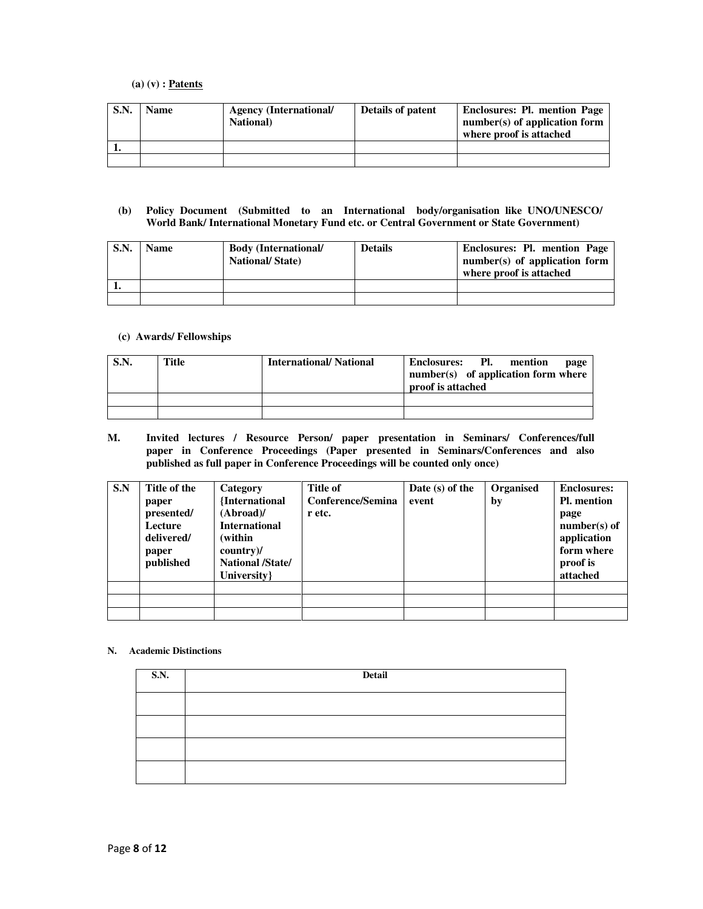### **(a) (v) : Patents**

| S.N. | <b>Name</b> | <b>Agency (International/</b><br><b>National</b> ) | Details of patent | <b>Enclosures: Pl. mention Page</b><br>$number(s)$ of application form<br>where proof is attached |
|------|-------------|----------------------------------------------------|-------------------|---------------------------------------------------------------------------------------------------|
|      |             |                                                    |                   |                                                                                                   |
|      |             |                                                    |                   |                                                                                                   |

### **(b) Policy Document (Submitted to an International body/organisation like UNO/UNESCO/ World Bank/ International Monetary Fund etc. or Central Government or State Government)**

| S.N. | <b>Name</b> | <b>Body (International/</b><br><b>National/State</b> ) | <b>Details</b> | Enclosures: Pl. mention Page<br>$number(s)$ of application form<br>where proof is attached |
|------|-------------|--------------------------------------------------------|----------------|--------------------------------------------------------------------------------------------|
|      |             |                                                        |                |                                                                                            |
|      |             |                                                        |                |                                                                                            |

### **(c) Awards/ Fellowships**

| S.N. | Title | <b>International/National</b> | Enclosures: Pl.<br>mention<br>page<br>$number(s)$ of application form where<br>proof is attached |
|------|-------|-------------------------------|--------------------------------------------------------------------------------------------------|
|      |       |                               |                                                                                                  |
|      |       |                               |                                                                                                  |

**M. Invited lectures / Resource Person/ paper presentation in Seminars/ Conferences/full paper in Conference Proceedings (Paper presented in Seminars/Conferences and also published as full paper in Conference Proceedings will be counted only once)** 

| S.N | Title of the<br>paper<br>presented/<br>Lecture<br>delivered/<br>paper<br>published | Category<br>{International<br>(Abroad)<br><b>International</b><br>(within<br>$country$ /<br><b>National /State/</b><br>University } | Title of<br>Conference/Semina<br>r etc. | Date $(s)$ of the<br>event | Organised<br>by | <b>Enclosures:</b><br><b>Pl.</b> mention<br>page<br>$number(s)$ of<br>application<br>form where<br>proof is<br>attached |
|-----|------------------------------------------------------------------------------------|-------------------------------------------------------------------------------------------------------------------------------------|-----------------------------------------|----------------------------|-----------------|-------------------------------------------------------------------------------------------------------------------------|
|     |                                                                                    |                                                                                                                                     |                                         |                            |                 |                                                                                                                         |

### **N. Academic Distinctions**

| <b>S.N.</b> | Detail |
|-------------|--------|
|             |        |
|             |        |
|             |        |
|             |        |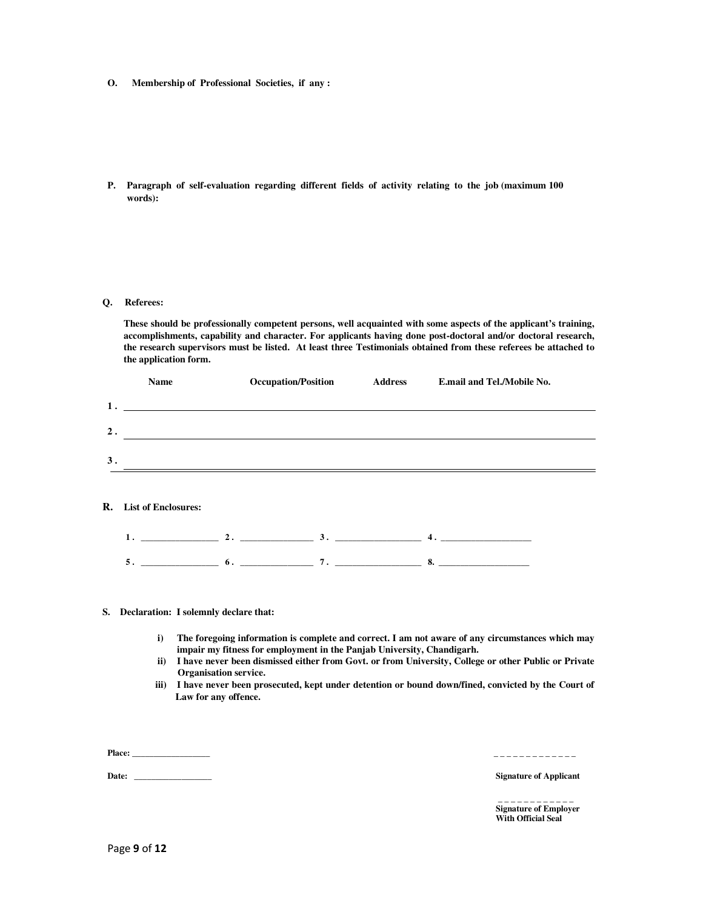- **O. Membership of Professional Societies, if any :**
- **P. Paragraph of self-evaluation regarding different fields of activity relating to the job (maximum 100 words):**

#### **Q. Referees:**

**These should be professionally competent persons, well acquainted with some aspects of the applicant's training, accomplishments, capability and character. For applicants having done post-doctoral and/or doctoral research, the research supervisors must be listed. At least three Testimonials obtained from these referees be attached to the application form.**

|    | Name | <b>Occupation/Position</b> | <b>Address</b> | E.mail and Tel./Mobile No. |
|----|------|----------------------------|----------------|----------------------------|
| 1. |      |                            |                |                            |
| 2. |      |                            |                |                            |
| 3. |      |                            |                |                            |
|    |      |                            |                |                            |

#### **R. List of Enclosures:**

|          |        |     |  |          | __      |
|----------|--------|-----|--|----------|---------|
| $\sim$ . | ______ | . . |  | $\cdots$ | <br>___ |

#### **S. Declaration: I solemnly declare that:**

- **i) The foregoing information is complete and correct. I am not aware of any circumstances which may impair my fitness for employment in the Panjab University, Chandigarh.**
- **ii) I have never been dismissed either from Govt. or from University, College or other Public or Private Organisation service.**
- **iii) I have never been prosecuted, kept under detention or bound down/fined, convicted by the Court of Law for any offence.**

**Place:** \_\_\_\_\_\_\_\_\_\_\_\_\_\_\_\_\_\_ \_ \_ \_ \_ \_ \_ \_ \_ \_ \_ \_ \_ \_

**Date:** \_\_\_\_\_\_\_\_\_\_\_\_\_\_\_\_\_\_ **Signature of Applicant**

 \_ \_ \_ \_ \_ \_ \_ \_ \_ \_ \_ \_ **Signature of Employer With Official Seal**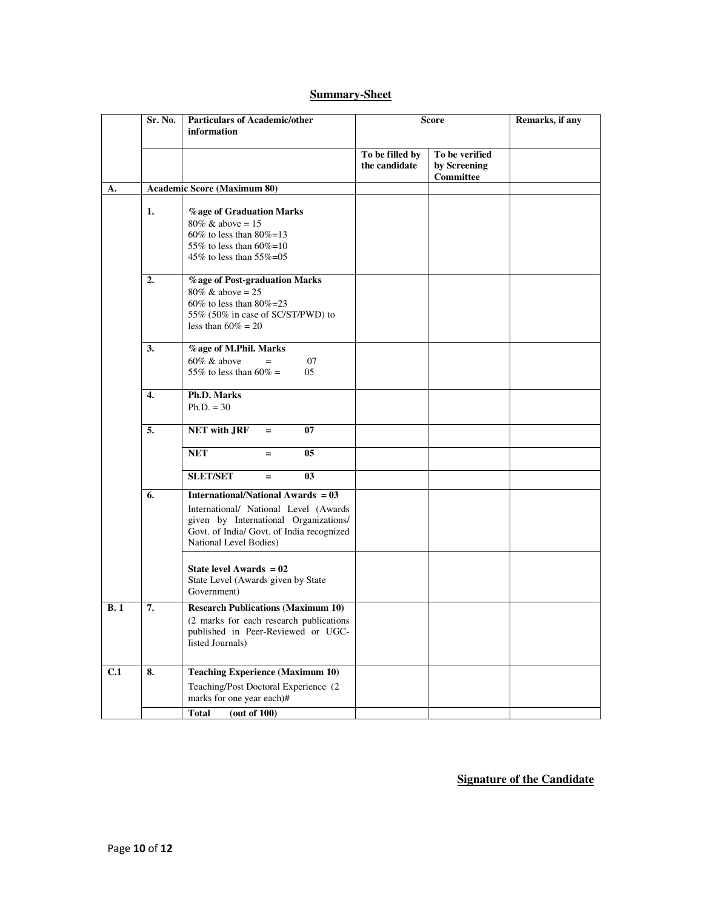# **Summary-Sheet**

|     | Sr. No. | <b>Particulars of Academic/other</b><br>information                                                                                                                                                | <b>Score</b>                     |                                                    | Remarks, if any |
|-----|---------|----------------------------------------------------------------------------------------------------------------------------------------------------------------------------------------------------|----------------------------------|----------------------------------------------------|-----------------|
|     |         |                                                                                                                                                                                                    | To be filled by<br>the candidate | To be verified<br>by Screening<br><b>Committee</b> |                 |
| А.  |         | <b>Academic Score (Maximum 80)</b>                                                                                                                                                                 |                                  |                                                    |                 |
|     | 1.      | % age of Graduation Marks<br>$80\% \& above = 15$<br>60% to less than $80\% = 13$<br>55% to less than $60\% = 10$<br>45% to less than 55%=05                                                       |                                  |                                                    |                 |
|     | 2.      | % age of Post-graduation Marks<br>$80\% \& above = 25$<br>$60\%$ to less than $80\% = 23$<br>55% (50% in case of SC/ST/PWD) to<br>less than $60\% = 20$                                            |                                  |                                                    |                 |
|     | 3.      | % age of M.Phil. Marks<br>$60\%$ & above<br>07<br>55% to less than 60% =<br>05                                                                                                                     |                                  |                                                    |                 |
|     | 4.      | Ph.D. Marks<br>$Ph.D. = 30$                                                                                                                                                                        |                                  |                                                    |                 |
|     | 5.      | <b>NET with JRF</b><br>07<br>$=$                                                                                                                                                                   |                                  |                                                    |                 |
|     |         | 05<br><b>NET</b><br>Ξ.                                                                                                                                                                             |                                  |                                                    |                 |
|     |         | <b>SLET/SET</b><br>0 <sub>3</sub><br>$=$                                                                                                                                                           |                                  |                                                    |                 |
|     | 6.      | <b>International/National Awards = 03</b><br>International/ National Level (Awards<br>given by International Organizations/<br>Govt. of India/ Govt. of India recognized<br>National Level Bodies) |                                  |                                                    |                 |
|     |         | State level Awards $= 02$<br>State Level (Awards given by State<br>Government)                                                                                                                     |                                  |                                                    |                 |
| B.1 | 7.      | <b>Research Publications (Maximum 10)</b><br>(2 marks for each research publications)<br>published in Peer-Reviewed or UGC-<br>listed Journals)                                                    |                                  |                                                    |                 |
| C.1 | 8.      | <b>Teaching Experience (Maximum 10)</b><br>Teaching/Post Doctoral Experience (2<br>marks for one year each)#                                                                                       |                                  |                                                    |                 |
|     |         | <b>Total</b><br>(out of 100)                                                                                                                                                                       |                                  |                                                    |                 |

**Signature of the Candidate**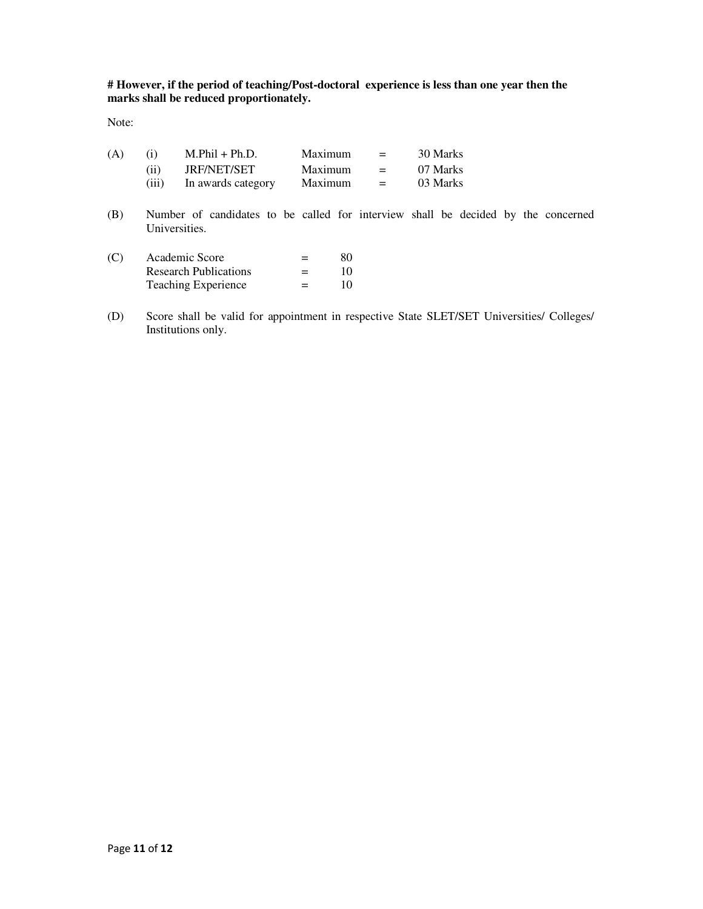**# However, if the period of teaching/Post-doctoral experience is less than one year then the marks shall be reduced proportionately.** 

Note:

| (A) | (i)   | $M.Phil + Ph.D.$   | Maximum | $=$     | 30 Marks |
|-----|-------|--------------------|---------|---------|----------|
|     | (ii)  | JRF/NET/SET        | Maximum | $=$ $-$ | 07 Marks |
|     | (iii) | In awards category | Maximum | $=$ $-$ | 03 Marks |

(B) Number of candidates to be called for interview shall be decided by the concerned Universities.

| (C) | Academic Score               | $=$ | 80 |
|-----|------------------------------|-----|----|
|     | <b>Research Publications</b> | $=$ | 10 |
|     | <b>Teaching Experience</b>   | $=$ | 10 |

(D) Score shall be valid for appointment in respective State SLET/SET Universities/ Colleges/ Institutions only.